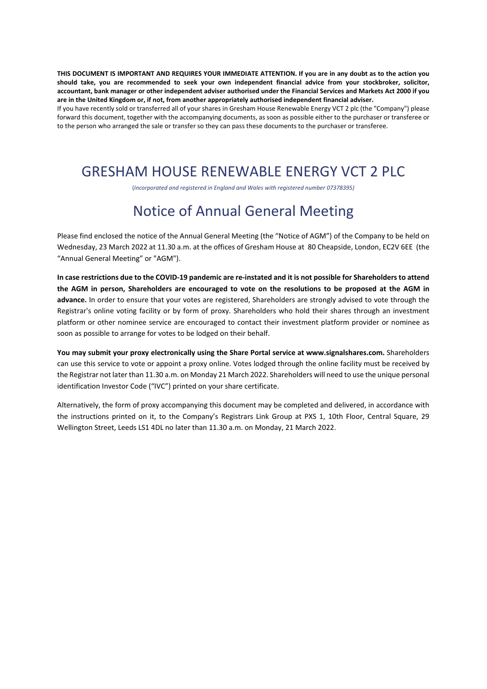THIS DOCUMENT IS IMPORTANT AND REQUIRES YOUR IMMEDIATE ATTENTION. If you are in any doubt as to the action you **should take, you are recommended to seek your own independent financial advice from your stockbroker, solicitor,** accountant, bank manager or other independent adviser authorised under the Financial Services and Markets Act 2000 if you **are in the United Kingdom or, if not, from another appropriately authorised independent financial adviser.**

If you have recently sold or transferred all of your shares in Gresham House Renewable Energy VCT 2 plc (the "Company") please forward this document, together with the accompanying documents, as soon as possible either to the purchaser or transferee or to the person who arranged the sale or transfer so they can pass these documents to the purchaser or transferee.

## GRESHAM HOUSE RENEWABLE ENERGY VCT 2 PLC

(*Incorporated and registered in England and Wales with registered number 07378395)* 

# Notice of Annual General Meeting

Please find enclosed the notice of the Annual General Meeting (the "Notice of AGM") of the Company to be held on Wednesday, 23 March 2022 at 11.30 a.m. at the offices of Gresham House at 80 Cheapside, London, EC2V 6EE (the "Annual General Meeting" or "AGM").

In case restrictions due to the COVID-19 pandemic are re-instated and it is not possible for Shareholders to attend the AGM in person, Shareholders are encouraged to vote on the resolutions to be proposed at the AGM in **advance.** In order to ensure that your votes are registered, Shareholders are strongly advised to vote through the Registrar's online voting facility or by form of proxy. Shareholders who hold their shares through an investment platform or other nominee service are encouraged to contact their investment platform provider or nominee as soon as possible to arrange for votes to be lodged on their behalf.

**You may submit your proxy electronically using the Share Portal service at www.signalshares.com.** Shareholders can use this service to vote or appoint a proxy online. Votes lodged through the online facility must be received by the Registrar not later than 11.30 a.m. on Monday 21 March 2022. Shareholders will need to use the unique personal identification Investor Code ("IVC") printed on your share certificate.

Alternatively, the form of proxy accompanying this document may be completed and delivered, in accordance with the instructions printed on it, to the Company's Registrars Link Group at PXS 1, 10th Floor, Central Square, 29 Wellington Street, Leeds LS1 4DL no later than 11.30 a.m. on Monday, 21 March 2022.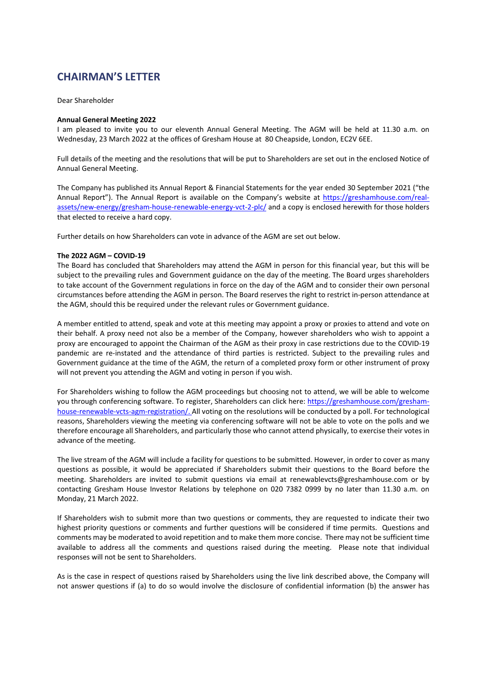### **CHAIRMAN'S LETTER**

Dear Shareholder

#### **Annual General Meeting 2022**

I am pleased to invite you to our eleventh Annual General Meeting. The AGM will be held at 11.30 a.m. on Wednesday, 23 March 2022 at the offices of Gresham House at 80 Cheapside, London, EC2V 6EE.

Full details of the meeting and the resolutions that will be put to Shareholders are set out in the enclosed Notice of Annual General Meeting.

The Company has published its Annual Report & Financial Statements for the year ended 30 September 2021 ("the Annual Report"). The Annual Report is available on the Company's website at https://greshamhouse.com/realassets/new-energy/gresham-house-renewable-energy-vct-2-plc/ and a copy is enclosed herewith for those holders that elected to receive a hard copy.

Further details on how Shareholders can vote in advance of the AGM are set out below.

#### **The 2022 AGM – COVID‐19**

The Board has concluded that Shareholders may attend the AGM in person for this financial year, but this will be subject to the prevailing rules and Government guidance on the day of the meeting. The Board urges shareholders to take account of the Government regulations in force on the day of the AGM and to consider their own personal circumstances before attending the AGM in person. The Board reserves the right to restrict in‐person attendance at the AGM, should this be required under the relevant rules or Government guidance.

A member entitled to attend, speak and vote at this meeting may appoint a proxy or proxies to attend and vote on their behalf. A proxy need not also be a member of the Company, however shareholders who wish to appoint a proxy are encouraged to appoint the Chairman of the AGM as their proxy in case restrictions due to the COVID‐19 pandemic are re‐instated and the attendance of third parties is restricted. Subject to the prevailing rules and Government guidance at the time of the AGM, the return of a completed proxy form or other instrument of proxy will not prevent you attending the AGM and voting in person if you wish.

For Shareholders wishing to follow the AGM proceedings but choosing not to attend, we will be able to welcome you through conferencing software. To register, Shareholders can click here: https://greshamhouse.com/gresham‐ house-renewable-vcts-agm-registration/. All voting on the resolutions will be conducted by a poll. For technological reasons, Shareholders viewing the meeting via conferencing software will not be able to vote on the polls and we therefore encourage all Shareholders, and particularly those who cannot attend physically, to exercise their votes in advance of the meeting.

The live stream of the AGM will include a facility for questions to be submitted. However, in order to cover as many questions as possible, it would be appreciated if Shareholders submit their questions to the Board before the meeting. Shareholders are invited to submit questions via email at renewablevcts@greshamhouse.com or by contacting Gresham House Investor Relations by telephone on 020 7382 0999 by no later than 11.30 a.m. on Monday, 21 March 2022.

If Shareholders wish to submit more than two questions or comments, they are requested to indicate their two highest priority questions or comments and further questions will be considered if time permits. Questions and comments may be moderated to avoid repetition and to make them more concise. There may not be sufficient time available to address all the comments and questions raised during the meeting. Please note that individual responses will not be sent to Shareholders.

As is the case in respect of questions raised by Shareholders using the live link described above, the Company will not answer questions if (a) to do so would involve the disclosure of confidential information (b) the answer has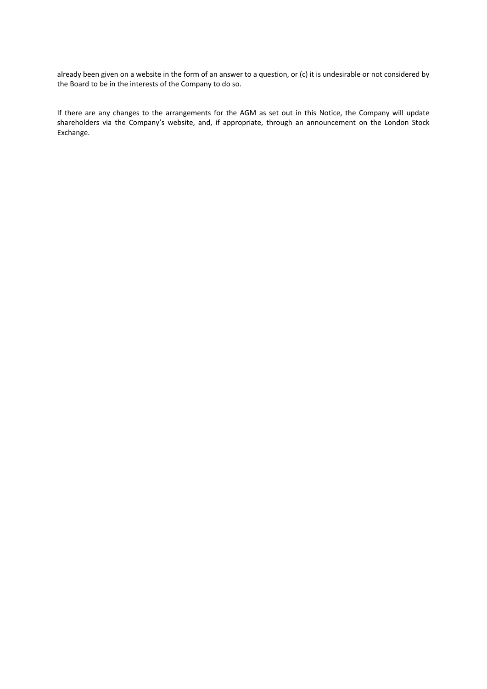already been given on a website in the form of an answer to a question, or (c) it is undesirable or not considered by the Board to be in the interests of the Company to do so.

If there are any changes to the arrangements for the AGM as set out in this Notice, the Company will update shareholders via the Company's website, and, if appropriate, through an announcement on the London Stock Exchange.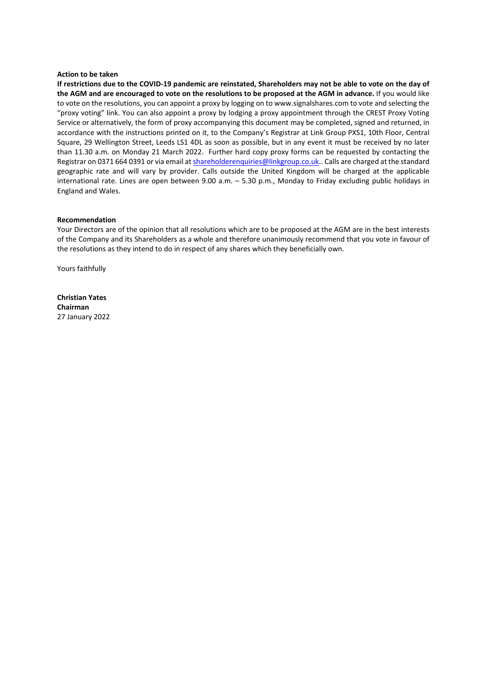#### **Action to be taken**

If restrictions due to the COVID-19 pandemic are reinstated, Shareholders may not be able to vote on the day of the AGM and are encouraged to vote on the resolutions to be proposed at the AGM in advance. If you would like to vote on the resolutions, you can appoint a proxy by logging on to www.signalshares.com to vote and selecting the "proxy voting" link. You can also appoint a proxy by lodging a proxy appointment through the CREST Proxy Voting Service or alternatively, the form of proxy accompanying this document may be completed, signed and returned, in accordance with the instructions printed on it, to the Company's Registrar at Link Group PXS1, 10th Floor, Central Square, 29 Wellington Street, Leeds LS1 4DL as soon as possible, but in any event it must be received by no later than 11.30 a.m. on Monday 21 March 2022. Further hard copy proxy forms can be requested by contacting the Registrar on 0371 664 0391 or via email at shareholderenquiries@linkgroup.co.uk.. Calls are charged at the standard geographic rate and will vary by provider. Calls outside the United Kingdom will be charged at the applicable international rate. Lines are open between 9.00 a.m. – 5.30 p.m., Monday to Friday excluding public holidays in England and Wales.

#### **Recommendation**

Your Directors are of the opinion that all resolutions which are to be proposed at the AGM are in the best interests of the Company and its Shareholders as a whole and therefore unanimously recommend that you vote in favour of the resolutions as they intend to do in respect of any shares which they beneficially own.

Yours faithfully

**Christian Yates Chairman** 27 January 2022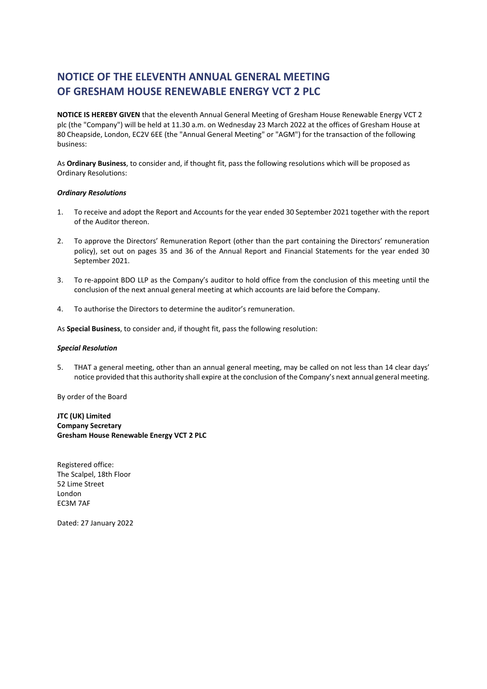### **NOTICE OF THE ELEVENTH ANNUAL GENERAL MEETING OF GRESHAM HOUSE RENEWABLE ENERGY VCT 2 PLC**

**NOTICE IS HEREBY GIVEN** that the eleventh Annual General Meeting of Gresham House Renewable Energy VCT 2 plc (the "Company") will be held at 11.30 a.m. on Wednesday 23 March 2022 at the offices of Gresham House at 80 Cheapside, London, EC2V 6EE (the "Annual General Meeting" or "AGM") for the transaction of the following business:

As **Ordinary Business**, to consider and, if thought fit, pass the following resolutions which will be proposed as Ordinary Resolutions:

#### *Ordinary Resolutions*

- 1. To receive and adopt the Report and Accounts for the year ended 30 September 2021 together with the report of the Auditor thereon.
- 2. To approve the Directors' Remuneration Report (other than the part containing the Directors' remuneration policy), set out on pages 35 and 36 of the Annual Report and Financial Statements for the year ended 30 September 2021.
- 3. To re‐appoint BDO LLP as the Company's auditor to hold office from the conclusion of this meeting until the conclusion of the next annual general meeting at which accounts are laid before the Company.
- 4. To authorise the Directors to determine the auditor's remuneration.

As **Special Business**, to consider and, if thought fit, pass the following resolution:

#### *Special Resolution*

5. THAT a general meeting, other than an annual general meeting, may be called on not less than 14 clear days' notice provided that this authority shall expire at the conclusion of the Company's next annual general meeting.

By order of the Board

**JTC (UK) Limited Company Secretary Gresham House Renewable Energy VCT 2 PLC**

Registered office: The Scalpel, 18th Floor 52 Lime Street London EC3M 7AF

Dated: 27 January 2022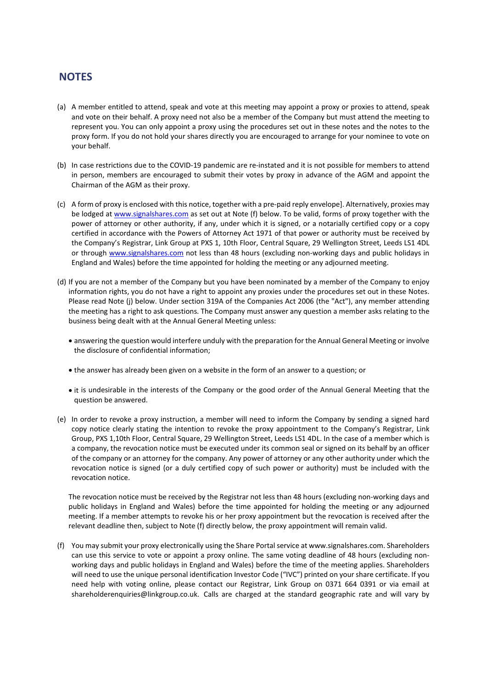### **NOTES**

- (a) A member entitled to attend, speak and vote at this meeting may appoint a proxy or proxies to attend, speak and vote on their behalf. A proxy need not also be a member of the Company but must attend the meeting to represent you. You can only appoint a proxy using the procedures set out in these notes and the notes to the proxy form. If you do not hold your shares directly you are encouraged to arrange for your nominee to vote on your behalf.
- (b) In case restrictions due to the COVID-19 pandemic are re-instated and it is not possible for members to attend in person, members are encouraged to submit their votes by proxy in advance of the AGM and appoint the Chairman of the AGM as their proxy.
- (c) A form of proxy is enclosed with this notice, together with a pre‐paid reply envelope]. Alternatively, proxies may be lodged at www.signalshares.com as set out at Note (f) below. To be valid, forms of proxy together with the power of attorney or other authority, if any, under which it is signed, or a notarially certified copy or a copy certified in accordance with the Powers of Attorney Act 1971 of that power or authority must be received by the Company's Registrar, Link Group at PXS 1, 10th Floor, Central Square, 29 Wellington Street, Leeds LS1 4DL or through www.signalshares.com not less than 48 hours (excluding non-working days and public holidays in England and Wales) before the time appointed for holding the meeting or any adjourned meeting.
- (d) If you are not a member of the Company but you have been nominated by a member of the Company to enjoy information rights, you do not have a right to appoint any proxies under the procedures set out in these Notes. Please read Note (j) below. Under section 319A of the Companies Act 2006 (the "Act"), any member attending the meeting has a right to ask questions. The Company must answer any question a member asks relating to the business being dealt with at the Annual General Meeting unless:
	- answering the question would interfere unduly with the preparation for the Annual General Meeting or involve the disclosure of confidential information;
	- the answer has already been given on a website in the form of an answer to a question; or
	- it is undesirable in the interests of the Company or the good order of the Annual General Meeting that the question be answered.
- (e) In order to revoke a proxy instruction, a member will need to inform the Company by sending a signed hard copy notice clearly stating the intention to revoke the proxy appointment to the Company's Registrar, Link Group, PXS 1,10th Floor, Central Square, 29 Wellington Street, Leeds LS1 4DL. In the case of a member which is a company, the revocation notice must be executed under its common seal or signed on its behalf by an officer of the company or an attorney for the company. Any power of attorney or any other authority under which the revocation notice is signed (or a duly certified copy of such power or authority) must be included with the revocation notice.

The revocation notice must be received by the Registrar not less than 48 hours (excluding non-working days and public holidays in England and Wales) before the time appointed for holding the meeting or any adjourned meeting. If a member attempts to revoke his or her proxy appointment but the revocation is received after the relevant deadline then, subject to Note (f) directly below, the proxy appointment will remain valid.

(f) You may submit your proxy electronically using the Share Portalservice at www.signalshares.com. Shareholders can use this service to vote or appoint a proxy online. The same voting deadline of 48 hours (excluding nonworking days and public holidays in England and Wales) before the time of the meeting applies. Shareholders will need to use the unique personal identification Investor Code ("IVC") printed on your share certificate. If you need help with voting online, please contact our Registrar, Link Group on 0371 664 0391 or via email at shareholderenquiries@linkgroup.co.uk. Calls are charged at the standard geographic rate and will vary by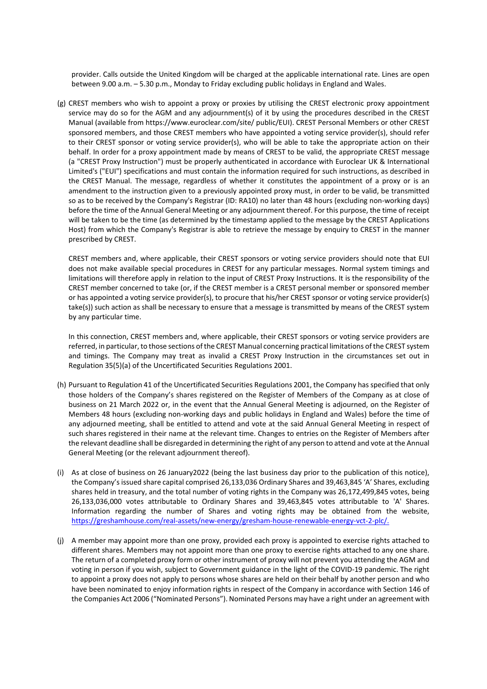provider. Calls outside the United Kingdom will be charged at the applicable international rate. Lines are open between 9.00 a.m. – 5.30 p.m., Monday to Friday excluding public holidays in England and Wales.

(g) CREST members who wish to appoint a proxy or proxies by utilising the CREST electronic proxy appointment service may do so for the AGM and any adjournment(s) of it by using the procedures described in the CREST Manual (available from https://www.euroclear.com/site/ public/EUI). CREST Personal Members or other CREST sponsored members, and those CREST members who have appointed a voting service provider(s), should refer to their CREST sponsor or voting service provider(s), who will be able to take the appropriate action on their behalf. In order for a proxy appointment made by means of CREST to be valid, the appropriate CREST message (a "CREST Proxy Instruction") must be properly authenticated in accordance with Euroclear UK & International Limited's ("EUI") specifications and must contain the information required for such instructions, as described in the CREST Manual. The message, regardless of whether it constitutes the appointment of a proxy or is an amendment to the instruction given to a previously appointed proxy must, in order to be valid, be transmitted so as to be received by the Company's Registrar (ID: RA10) no later than 48 hours (excluding non‐working days) before the time of the Annual General Meeting or any adjournment thereof. For this purpose, the time of receipt will be taken to be the time (as determined by the timestamp applied to the message by the CREST Applications Host) from which the Company's Registrar is able to retrieve the message by enquiry to CREST in the manner prescribed by CREST.

CREST members and, where applicable, their CREST sponsors or voting service providers should note that EUI does not make available special procedures in CREST for any particular messages. Normal system timings and limitations will therefore apply in relation to the input of CREST Proxy Instructions. It is the responsibility of the CREST member concerned to take (or, if the CREST member is a CREST personal member or sponsored member or has appointed a voting service provider(s), to procure that his/her CREST sponsor or voting service provider(s) take(s)) such action as shall be necessary to ensure that a message is transmitted by means of the CREST system by any particular time.

In this connection, CREST members and, where applicable, their CREST sponsors or voting service providers are referred, in particular, to those sections ofthe CREST Manual concerning practical limitations of the CREST system and timings. The Company may treat as invalid a CREST Proxy Instruction in the circumstances set out in Regulation 35(5)(a) of the Uncertificated Securities Regulations 2001.

- (h) Pursuant to Regulation 41 of the Uncertificated Securities Regulations 2001, the Company has specified that only those holders of the Company's shares registered on the Register of Members of the Company as at close of business on 21 March 2022 or, in the event that the Annual General Meeting is adjourned, on the Register of Members 48 hours (excluding non‐working days and public holidays in England and Wales) before the time of any adjourned meeting, shall be entitled to attend and vote at the said Annual General Meeting in respect of such shares registered in their name at the relevant time. Changes to entries on the Register of Members after the relevant deadline shall be disregarded in determining the right of any person to attend and vote at the Annual General Meeting (or the relevant adjournment thereof).
- (i) As at close of business on 26 January2022 (being the last business day prior to the publication of this notice), the Company's issued share capital comprised 26,133,036 Ordinary Shares and 39,463,845 'A' Shares, excluding shares held in treasury, and the total number of voting rights in the Company was 26,172,499,845 votes, being 26,133,036,000 votes attributable to Ordinary Shares and 39,463,845 votes attributable to 'A' Shares. Information regarding the number of Shares and voting rights may be obtained from the website, https://greshamhouse.com/real‐assets/new‐energy/gresham‐house‐renewable‐energy‐vct‐2‐plc/.
- (j) A member may appoint more than one proxy, provided each proxy is appointed to exercise rights attached to different shares. Members may not appoint more than one proxy to exercise rights attached to any one share. The return of a completed proxy form or other instrument of proxy will not prevent you attending the AGM and voting in person if you wish, subject to Government guidance in the light of the COVID‐19 pandemic. The right to appoint a proxy does not apply to persons whose shares are held on their behalf by another person and who have been nominated to enjoy information rights in respect of the Company in accordance with Section 146 of the Companies Act 2006 ("Nominated Persons"). Nominated Persons may have a right under an agreement with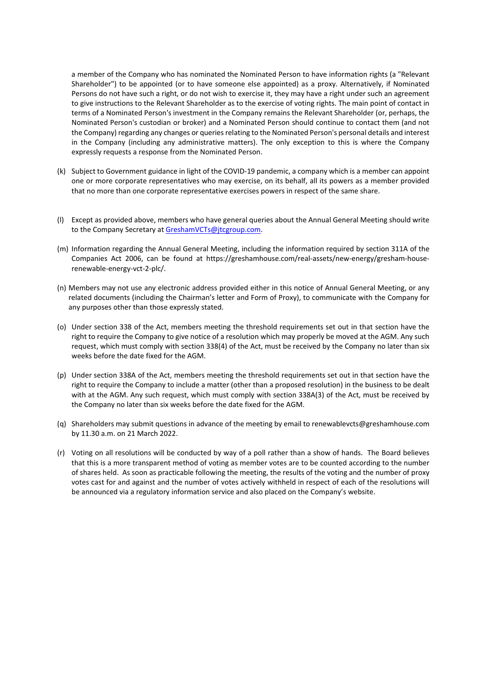a member of the Company who has nominated the Nominated Person to have information rights (a "Relevant Shareholder") to be appointed (or to have someone else appointed) as a proxy. Alternatively, if Nominated Persons do not have such a right, or do not wish to exercise it, they may have a right under such an agreement to give instructions to the Relevant Shareholder as to the exercise of voting rights. The main point of contact in terms of a Nominated Person's investment in the Company remains the Relevant Shareholder (or, perhaps, the Nominated Person's custodian or broker) and a Nominated Person should continue to contact them (and not the Company) regarding any changes or queriesrelating to the Nominated Person's personal details and interest in the Company (including any administrative matters). The only exception to this is where the Company expressly requests a response from the Nominated Person.

- (k) Subject to Government guidance in light of the COVID‐19 pandemic, a company which is a member can appoint one or more corporate representatives who may exercise, on its behalf, all its powers as a member provided that no more than one corporate representative exercises powers in respect of the same share.
- (l) Except as provided above, members who have general queries about the Annual General Meeting should write to the Company Secretary at GreshamVCTs@jtcgroup.com.
- (m) Information regarding the Annual General Meeting, including the information required by section 311A of the Companies Act 2006, can be found at https://greshamhouse.com/real‐assets/new‐energy/gresham‐house‐ renewable‐energy‐vct‐2‐plc/.
- (n) Members may not use any electronic address provided either in this notice of Annual General Meeting, or any related documents (including the Chairman's letter and Form of Proxy), to communicate with the Company for any purposes other than those expressly stated.
- (o) Under section 338 of the Act, members meeting the threshold requirements set out in that section have the right to require the Company to give notice of a resolution which may properly be moved at the AGM. Any such request, which must comply with section 338(4) of the Act, must be received by the Company no later than six weeks before the date fixed for the AGM.
- (p) Under section 338A of the Act, members meeting the threshold requirements set out in that section have the right to require the Company to include a matter (other than a proposed resolution) in the business to be dealt with at the AGM. Any such request, which must comply with section 338A(3) of the Act, must be received by the Company no later than six weeks before the date fixed for the AGM.
- (q) Shareholders may submit questions in advance of the meeting by email to renewablevcts@greshamhouse.com by 11.30 a.m. on 21 March 2022.
- (r) Voting on all resolutions will be conducted by way of a poll rather than a show of hands. The Board believes that this is a more transparent method of voting as member votes are to be counted according to the number of shares held. As soon as practicable following the meeting, the results of the voting and the number of proxy votes cast for and against and the number of votes actively withheld in respect of each of the resolutions will be announced via a regulatory information service and also placed on the Company's website.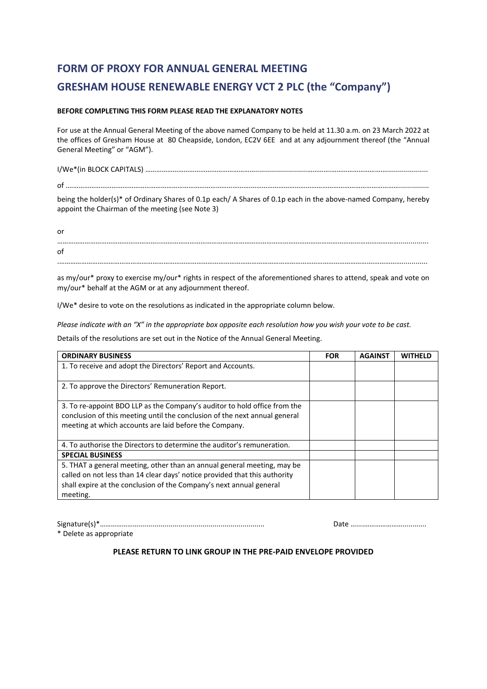## **FORM OF PROXY FOR ANNUAL GENERAL MEETING GRESHAM HOUSE RENEWABLE ENERGY VCT 2 PLC (the "Company")**

#### **BEFORE COMPLETING THIS FORM PLEASE READ THE EXPLANATORY NOTES**

For use at the Annual General Meeting of the above named Company to be held at 11.30 a.m. on 23 March 2022 at the offices of Gresham House at 80 Cheapside, London, EC2V 6EE and at any adjournment thereof (the "Annual General Meeting" or "AGM").

I/We\*(in BLOCK CAPITALS) ……………………………………………………..........................………….……………………….….................... of .……………………………………………………………………………………….………………………………………………………………………............... being the holder(s)\* of Ordinary Shares of 0.1p each/ A Shares of 0.1p each in the above-named Company, hereby appoint the Chairman of the meeting (see Note 3)

or ………………………………………………...……………………………………………………………………………………………...…………………............... of .……………………………………………………………………………………………………………………………………………………….…………….............

as my/our\* proxy to exercise my/our\* rights in respect of the aforementioned shares to attend, speak and vote on my/our\* behalf at the AGM or at any adjournment thereof.

I/We\* desire to vote on the resolutions as indicated in the appropriate column below.

Please indicate with an "X" in the appropriate box opposite each resolution how you wish your vote to be cast.

Details of the resolutions are set out in the Notice of the Annual General Meeting.

| <b>ORDINARY BUSINESS</b>                                                   | <b>FOR</b> | <b>AGAINST</b> | WITHELD |
|----------------------------------------------------------------------------|------------|----------------|---------|
| 1. To receive and adopt the Directors' Report and Accounts.                |            |                |         |
|                                                                            |            |                |         |
| 2. To approve the Directors' Remuneration Report.                          |            |                |         |
|                                                                            |            |                |         |
| 3. To re-appoint BDO LLP as the Company's auditor to hold office from the  |            |                |         |
| conclusion of this meeting until the conclusion of the next annual general |            |                |         |
| meeting at which accounts are laid before the Company.                     |            |                |         |
|                                                                            |            |                |         |
| 4. To authorise the Directors to determine the auditor's remuneration.     |            |                |         |
| <b>SPECIAL BUSINESS</b>                                                    |            |                |         |
| 5. THAT a general meeting, other than an annual general meeting, may be    |            |                |         |
| called on not less than 14 clear days' notice provided that this authority |            |                |         |
| shall expire at the conclusion of the Company's next annual general        |            |                |         |
| meeting.                                                                   |            |                |         |

Signature(s)\*…………………............................................................... Date …....…………………............

\* Delete as appropriate

#### **PLEASE RETURN TO LINK GROUP IN THE PRE‐PAID ENVELOPE PROVIDED**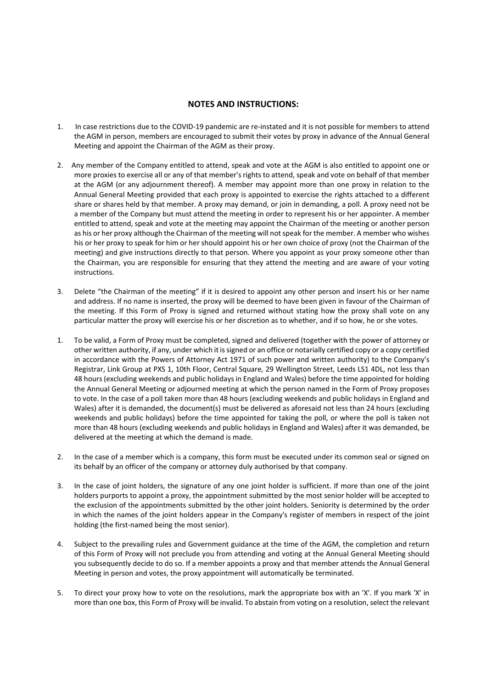#### **NOTES AND INSTRUCTIONS:**

- 1. In case restrictions due to the COVID‐19 pandemic are re‐instated and it is not possible for members to attend the AGM in person, members are encouraged to submit their votes by proxy in advance of the Annual General Meeting and appoint the Chairman of the AGM as their proxy.
- 2. Any member of the Company entitled to attend, speak and vote at the AGM is also entitled to appoint one or more proxies to exercise all or any of that member's rights to attend, speak and vote on behalf of that member at the AGM (or any adjournment thereof). A member may appoint more than one proxy in relation to the Annual General Meeting provided that each proxy is appointed to exercise the rights attached to a different share or shares held by that member. A proxy may demand, or join in demanding, a poll. A proxy need not be a member of the Company but must attend the meeting in order to represent his or her appointer. A member entitled to attend, speak and vote at the meeting may appoint the Chairman of the meeting or another person as his or her proxy although the Chairman of the meeting will not speak for the member. A member who wishes his or her proxy to speak for him or her should appoint his or her own choice of proxy (not the Chairman of the meeting) and give instructions directly to that person. Where you appoint as your proxy someone other than the Chairman, you are responsible for ensuring that they attend the meeting and are aware of your voting instructions.
- 3. Delete "the Chairman of the meeting" if it is desired to appoint any other person and insert his or her name and address. If no name is inserted, the proxy will be deemed to have been given in favour of the Chairman of the meeting. If this Form of Proxy is signed and returned without stating how the proxy shall vote on any particular matter the proxy will exercise his or her discretion as to whether, and if so how, he or she votes.
- 1. To be valid, a Form of Proxy must be completed, signed and delivered (together with the power of attorney or other written authority, if any, under which it issigned or an office or notarially certified copy or a copy certified in accordance with the Powers of Attorney Act 1971 of such power and written authority) to the Company's Registrar, Link Group at PXS 1, 10th Floor, Central Square, 29 Wellington Street, Leeds LS1 4DL, not less than 48 hours (excluding weekends and public holidays in England and Wales) before the time appointed for holding the Annual General Meeting or adjourned meeting at which the person named in the Form of Proxy proposes to vote. In the case of a poll taken more than 48 hours (excluding weekends and public holidays in England and Wales) after it is demanded, the document(s) must be delivered as aforesaid not less than 24 hours (excluding weekends and public holidays) before the time appointed for taking the poll, or where the poll is taken not more than 48 hours (excluding weekends and public holidays in England and Wales) after it was demanded, be delivered at the meeting at which the demand is made.
- 2. In the case of a member which is a company, this form must be executed under its common seal or signed on its behalf by an officer of the company or attorney duly authorised by that company.
- 3. In the case of joint holders, the signature of any one joint holder is sufficient. If more than one of the joint holders purports to appoint a proxy, the appointment submitted by the most senior holder will be accepted to the exclusion of the appointments submitted by the other joint holders. Seniority is determined by the order in which the names of the joint holders appear in the Company's register of members in respect of the joint holding (the first‐named being the most senior).
- 4. Subject to the prevailing rules and Government guidance at the time of the AGM, the completion and return of this Form of Proxy will not preclude you from attending and voting at the Annual General Meeting should you subsequently decide to do so. If a member appoints a proxy and that member attends the Annual General Meeting in person and votes, the proxy appointment will automatically be terminated.
- 5. To direct your proxy how to vote on the resolutions, mark the appropriate box with an 'X'. If you mark 'X' in more than one box, this Form of Proxy will be invalid. To abstain from voting on a resolution, select the relevant